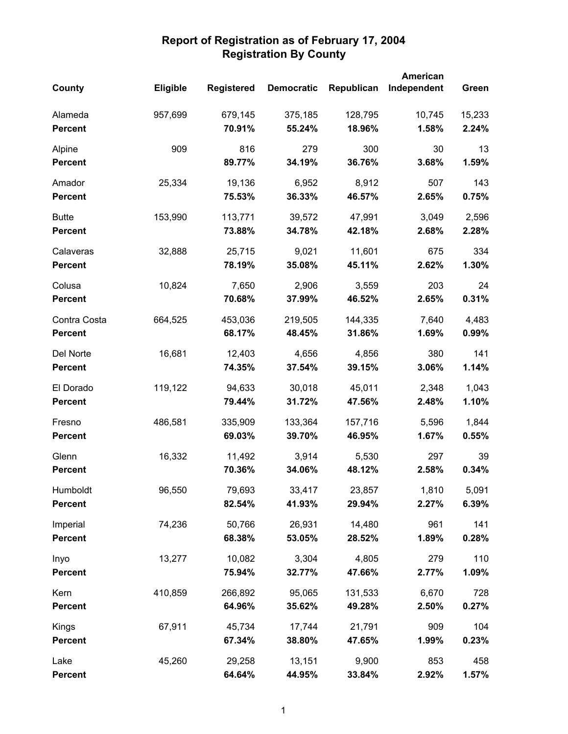|                |          |                   |                   |            | American    |        |
|----------------|----------|-------------------|-------------------|------------|-------------|--------|
| County         | Eligible | <b>Registered</b> | <b>Democratic</b> | Republican | Independent | Green  |
| Alameda        | 957,699  | 679,145           | 375,185           | 128,795    | 10,745      | 15,233 |
| <b>Percent</b> |          | 70.91%            | 55.24%            | 18.96%     | 1.58%       | 2.24%  |
| Alpine         | 909      | 816               | 279               | 300        | 30          | 13     |
| <b>Percent</b> |          | 89.77%            | 34.19%            | 36.76%     | 3.68%       | 1.59%  |
| Amador         | 25,334   | 19,136            | 6,952             | 8,912      | 507         | 143    |
| <b>Percent</b> |          | 75.53%            | 36.33%            | 46.57%     | 2.65%       | 0.75%  |
| <b>Butte</b>   | 153,990  | 113,771           | 39,572            | 47,991     | 3,049       | 2,596  |
| <b>Percent</b> |          | 73.88%            | 34.78%            | 42.18%     | 2.68%       | 2.28%  |
| Calaveras      | 32,888   | 25,715            | 9,021             | 11,601     | 675         | 334    |
| <b>Percent</b> |          | 78.19%            | 35.08%            | 45.11%     | 2.62%       | 1.30%  |
| Colusa         | 10,824   | 7,650             | 2,906             | 3,559      | 203         | 24     |
| <b>Percent</b> |          | 70.68%            | 37.99%            | 46.52%     | 2.65%       | 0.31%  |
| Contra Costa   | 664,525  | 453,036           | 219,505           | 144,335    | 7,640       | 4,483  |
| <b>Percent</b> |          | 68.17%            | 48.45%            | 31.86%     | 1.69%       | 0.99%  |
| Del Norte      | 16,681   | 12,403            | 4,656             | 4,856      | 380         | 141    |
| <b>Percent</b> |          | 74.35%            | 37.54%            | 39.15%     | 3.06%       | 1.14%  |
| El Dorado      | 119,122  | 94,633            | 30,018            | 45,011     | 2,348       | 1,043  |
| <b>Percent</b> |          | 79.44%            | 31.72%            | 47.56%     | 2.48%       | 1.10%  |
| Fresno         | 486,581  | 335,909           | 133,364           | 157,716    | 5,596       | 1,844  |
| <b>Percent</b> |          | 69.03%            | 39.70%            | 46.95%     | 1.67%       | 0.55%  |
| Glenn          | 16,332   | 11,492            | 3,914             | 5,530      | 297         | 39     |
| <b>Percent</b> |          | 70.36%            | 34.06%            | 48.12%     | 2.58%       | 0.34%  |
| Humboldt       | 96,550   | 79,693            | 33,417            | 23,857     | 1,810       | 5,091  |
| <b>Percent</b> |          | 82.54%            | 41.93%            | 29.94%     | 2.27%       | 6.39%  |
| Imperial       | 74,236   | 50,766            | 26,931            | 14,480     | 961         | 141    |
| <b>Percent</b> |          | 68.38%            | 53.05%            | 28.52%     | 1.89%       | 0.28%  |
| Inyo           | 13,277   | 10,082            | 3,304             | 4,805      | 279         | 110    |
| <b>Percent</b> |          | 75.94%            | 32.77%            | 47.66%     | 2.77%       | 1.09%  |
| Kern           | 410,859  | 266,892           | 95,065            | 131,533    | 6,670       | 728    |
| <b>Percent</b> |          | 64.96%            | 35.62%            | 49.28%     | 2.50%       | 0.27%  |
| Kings          | 67,911   | 45,734            | 17,744            | 21,791     | 909         | 104    |
| <b>Percent</b> |          | 67.34%            | 38.80%            | 47.65%     | 1.99%       | 0.23%  |
| Lake           | 45,260   | 29,258            | 13,151            | 9,900      | 853         | 458    |
| <b>Percent</b> |          | 64.64%            | 44.95%            | 33.84%     | 2.92%       | 1.57%  |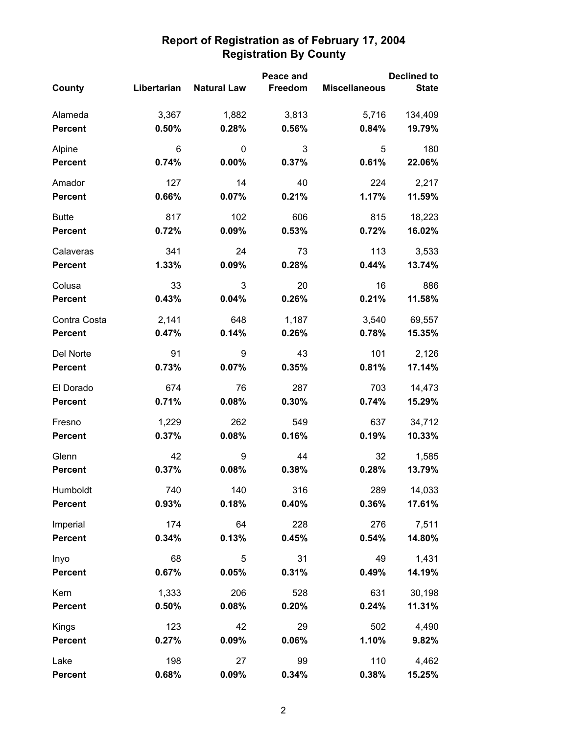|                                |                | Peace and          |                |                      | <b>Declined to</b> |  |  |
|--------------------------------|----------------|--------------------|----------------|----------------------|--------------------|--|--|
| County                         | Libertarian    | <b>Natural Law</b> | Freedom        | <b>Miscellaneous</b> | <b>State</b>       |  |  |
| Alameda                        | 3,367          | 1,882              | 3,813          | 5,716                | 134,409            |  |  |
| <b>Percent</b>                 | 0.50%          | 0.28%              | 0.56%          | 0.84%                | 19.79%             |  |  |
| Alpine                         | 6              | 0                  | 3              | 5                    | 180                |  |  |
| <b>Percent</b>                 | 0.74%          | 0.00%              | 0.37%          | 0.61%                | 22.06%             |  |  |
| Amador                         | 127            | 14                 | 40             | 224                  | 2,217              |  |  |
| <b>Percent</b>                 | 0.66%          | 0.07%              | 0.21%          | 1.17%                | 11.59%             |  |  |
| <b>Butte</b>                   | 817            | 102                | 606            | 815                  | 18,223             |  |  |
| <b>Percent</b>                 | 0.72%          | 0.09%              | 0.53%          | 0.72%                | 16.02%             |  |  |
| Calaveras<br><b>Percent</b>    | 341<br>1.33%   | 24<br>0.09%        | 73<br>0.28%    | 113<br>0.44%         | 3,533<br>13.74%    |  |  |
|                                |                |                    |                |                      |                    |  |  |
| Colusa<br><b>Percent</b>       | 33<br>0.43%    | 3<br>0.04%         | 20<br>0.26%    | 16<br>0.21%          | 886<br>11.58%      |  |  |
|                                |                |                    |                |                      |                    |  |  |
| Contra Costa<br><b>Percent</b> | 2,141<br>0.47% | 648<br>0.14%       | 1,187<br>0.26% | 3,540<br>0.78%       | 69,557<br>15.35%   |  |  |
|                                |                |                    |                |                      |                    |  |  |
| Del Norte<br><b>Percent</b>    | 91<br>0.73%    | 9<br>0.07%         | 43<br>0.35%    | 101<br>0.81%         | 2,126<br>17.14%    |  |  |
| El Dorado                      | 674            | 76                 | 287            | 703                  | 14,473             |  |  |
| <b>Percent</b>                 | 0.71%          | 0.08%              | 0.30%          | 0.74%                | 15.29%             |  |  |
| Fresno                         | 1,229          | 262                | 549            | 637                  | 34,712             |  |  |
| <b>Percent</b>                 | 0.37%          | 0.08%              | 0.16%          | 0.19%                | 10.33%             |  |  |
| Glenn                          | 42             | 9                  | 44             | 32                   | 1,585              |  |  |
| <b>Percent</b>                 | 0.37%          | 0.08%              | 0.38%          | 0.28%                | 13.79%             |  |  |
| Humboldt                       | 740            | 140                | 316            | 289                  | 14,033             |  |  |
| <b>Percent</b>                 | 0.93%          | 0.18%              | 0.40%          | 0.36%                | 17.61%             |  |  |
| Imperial                       | 174            | 64                 | 228            | 276                  | 7,511              |  |  |
| <b>Percent</b>                 | 0.34%          | 0.13%              | 0.45%          | 0.54%                | 14.80%             |  |  |
| Inyo                           | 68             | 5                  | 31             | 49                   | 1,431              |  |  |
| <b>Percent</b>                 | 0.67%          | 0.05%              | 0.31%          | 0.49%                | 14.19%             |  |  |
| Kern                           | 1,333          | 206                | 528            | 631                  | 30,198             |  |  |
| <b>Percent</b>                 | 0.50%          | 0.08%              | 0.20%          | 0.24%                | 11.31%             |  |  |
| Kings                          | 123            | 42                 | 29             | 502                  | 4,490              |  |  |
| <b>Percent</b>                 | 0.27%          | 0.09%              | 0.06%          | 1.10%                | 9.82%              |  |  |
| Lake                           | 198            | 27                 | 99             | 110                  | 4,462              |  |  |
| <b>Percent</b>                 | 0.68%          | 0.09%              | 0.34%          | 0.38%                | 15.25%             |  |  |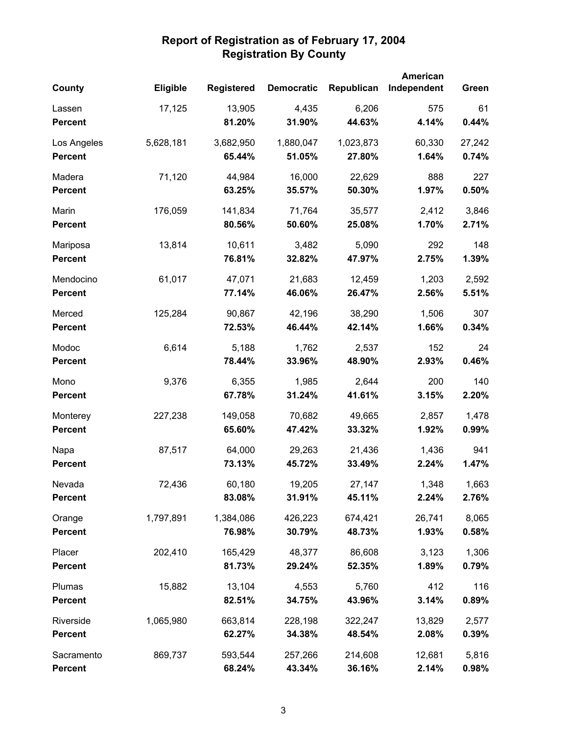|                |           |                   |                   |            | American    |        |
|----------------|-----------|-------------------|-------------------|------------|-------------|--------|
| County         | Eligible  | <b>Registered</b> | <b>Democratic</b> | Republican | Independent | Green  |
| Lassen         | 17,125    | 13,905            | 4,435             | 6,206      | 575         | 61     |
| <b>Percent</b> |           | 81.20%            | 31.90%            | 44.63%     | 4.14%       | 0.44%  |
| Los Angeles    | 5,628,181 | 3,682,950         | 1,880,047         | 1,023,873  | 60,330      | 27,242 |
| <b>Percent</b> |           | 65.44%            | 51.05%            | 27.80%     | 1.64%       | 0.74%  |
| Madera         | 71,120    | 44,984            | 16,000            | 22,629     | 888         | 227    |
| <b>Percent</b> |           | 63.25%            | 35.57%            | 50.30%     | 1.97%       | 0.50%  |
| Marin          | 176,059   | 141,834           | 71,764            | 35,577     | 2,412       | 3,846  |
| <b>Percent</b> |           | 80.56%            | 50.60%            | 25.08%     | 1.70%       | 2.71%  |
| Mariposa       | 13,814    | 10,611            | 3,482             | 5,090      | 292         | 148    |
| <b>Percent</b> |           | 76.81%            | 32.82%            | 47.97%     | 2.75%       | 1.39%  |
| Mendocino      | 61,017    | 47,071            | 21,683            | 12,459     | 1,203       | 2,592  |
| <b>Percent</b> |           | 77.14%            | 46.06%            | 26.47%     | 2.56%       | 5.51%  |
| Merced         | 125,284   | 90,867            | 42,196            | 38,290     | 1,506       | 307    |
| <b>Percent</b> |           | 72.53%            | 46.44%            | 42.14%     | 1.66%       | 0.34%  |
| Modoc          | 6,614     | 5,188             | 1,762             | 2,537      | 152         | 24     |
| <b>Percent</b> |           | 78.44%            | 33.96%            | 48.90%     | 2.93%       | 0.46%  |
| Mono           | 9,376     | 6,355             | 1,985             | 2,644      | 200         | 140    |
| <b>Percent</b> |           | 67.78%            | 31.24%            | 41.61%     | 3.15%       | 2.20%  |
| Monterey       | 227,238   | 149,058           | 70,682            | 49,665     | 2,857       | 1,478  |
| <b>Percent</b> |           | 65.60%            | 47.42%            | 33.32%     | 1.92%       | 0.99%  |
| Napa           | 87,517    | 64,000            | 29,263            | 21,436     | 1,436       | 941    |
| <b>Percent</b> |           | 73.13%            | 45.72%            | 33.49%     | 2.24%       | 1.47%  |
| Nevada         | 72,436    | 60,180            | 19,205            | 27,147     | 1,348       | 1,663  |
| <b>Percent</b> |           | 83.08%            | 31.91%            | 45.11%     | 2.24%       | 2.76%  |
| Orange         | 1,797,891 | 1,384,086         | 426,223           | 674,421    | 26,741      | 8,065  |
| <b>Percent</b> |           | 76.98%            | 30.79%            | 48.73%     | 1.93%       | 0.58%  |
| Placer         | 202,410   | 165,429           | 48,377            | 86,608     | 3,123       | 1,306  |
| <b>Percent</b> |           | 81.73%            | 29.24%            | 52.35%     | 1.89%       | 0.79%  |
| Plumas         | 15,882    | 13,104            | 4,553             | 5,760      | 412         | 116    |
| <b>Percent</b> |           | 82.51%            | 34.75%            | 43.96%     | 3.14%       | 0.89%  |
| Riverside      | 1,065,980 | 663,814           | 228,198           | 322,247    | 13,829      | 2,577  |
| <b>Percent</b> |           | 62.27%            | 34.38%            | 48.54%     | 2.08%       | 0.39%  |
| Sacramento     | 869,737   | 593,544           | 257,266           | 214,608    | 12,681      | 5,816  |
| <b>Percent</b> |           | 68.24%            | 43.34%            | 36.16%     | 2.14%       | 0.98%  |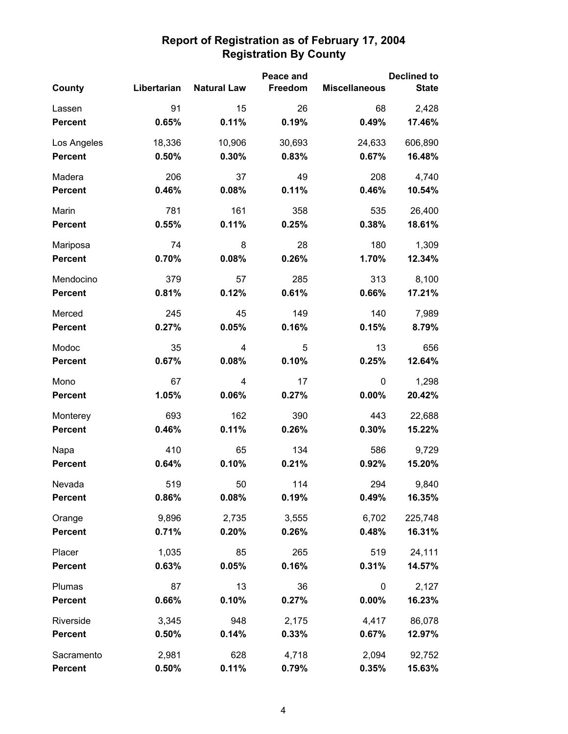|                |             |                    | Peace and |                      | <b>Declined to</b> |
|----------------|-------------|--------------------|-----------|----------------------|--------------------|
| County         | Libertarian | <b>Natural Law</b> | Freedom   | <b>Miscellaneous</b> | <b>State</b>       |
| Lassen         | 91          | 15                 | 26        | 68                   | 2,428              |
| <b>Percent</b> | 0.65%       | 0.11%              | 0.19%     | 0.49%                | 17.46%             |
| Los Angeles    | 18,336      | 10,906             | 30,693    | 24,633               | 606,890            |
| <b>Percent</b> | 0.50%       | 0.30%              | 0.83%     | 0.67%                | 16.48%             |
| Madera         | 206         | 37                 | 49        | 208                  | 4,740              |
| <b>Percent</b> | 0.46%       | 0.08%              | 0.11%     | 0.46%                | 10.54%             |
| Marin          | 781         | 161                | 358       | 535                  | 26,400             |
| <b>Percent</b> | 0.55%       | 0.11%              | 0.25%     | 0.38%                | 18.61%             |
| Mariposa       | 74          | 8                  | 28        | 180                  | 1,309              |
| <b>Percent</b> | 0.70%       | 0.08%              | 0.26%     | 1.70%                | 12.34%             |
| Mendocino      | 379         | 57                 | 285       | 313                  | 8,100              |
| <b>Percent</b> | 0.81%       | 0.12%              | 0.61%     | 0.66%                | 17.21%             |
| Merced         | 245         | 45                 | 149       | 140                  | 7,989              |
| <b>Percent</b> | 0.27%       | 0.05%              | 0.16%     | 0.15%                | 8.79%              |
| Modoc          | 35          | 4                  | 5         | 13                   | 656                |
| <b>Percent</b> | 0.67%       | 0.08%              | 0.10%     | 0.25%                | 12.64%             |
| Mono           | 67          | 4                  | 17        | 0                    | 1,298              |
| <b>Percent</b> | 1.05%       | 0.06%              | 0.27%     | 0.00%                | 20.42%             |
| Monterey       | 693         | 162                | 390       | 443                  | 22,688             |
| <b>Percent</b> | 0.46%       | 0.11%              | 0.26%     | 0.30%                | 15.22%             |
| Napa           | 410         | 65                 | 134       | 586                  | 9,729              |
| <b>Percent</b> | 0.64%       | 0.10%              | 0.21%     | 0.92%                | 15.20%             |
| Nevada         | 519         | 50                 | 114       | 294                  | 9,840              |
| <b>Percent</b> | 0.86%       | 0.08%              | 0.19%     | 0.49%                | 16.35%             |
| Orange         | 9,896       | 2,735              | 3,555     | 6,702                | 225,748            |
| <b>Percent</b> | 0.71%       | 0.20%              | 0.26%     | 0.48%                | 16.31%             |
| Placer         | 1,035       | 85                 | 265       | 519                  | 24,111             |
| <b>Percent</b> | 0.63%       | 0.05%              | 0.16%     | 0.31%                | 14.57%             |
| Plumas         | 87          | 13                 | 36        | 0                    | 2,127              |
| <b>Percent</b> | 0.66%       | 0.10%              | 0.27%     | 0.00%                | 16.23%             |
| Riverside      | 3,345       | 948                | 2,175     | 4,417                | 86,078             |
| <b>Percent</b> | 0.50%       | 0.14%              | 0.33%     | 0.67%                | 12.97%             |
| Sacramento     | 2,981       | 628                | 4,718     | 2,094                | 92,752             |
| <b>Percent</b> | 0.50%       | 0.11%              | 0.79%     | 0.35%                | 15.63%             |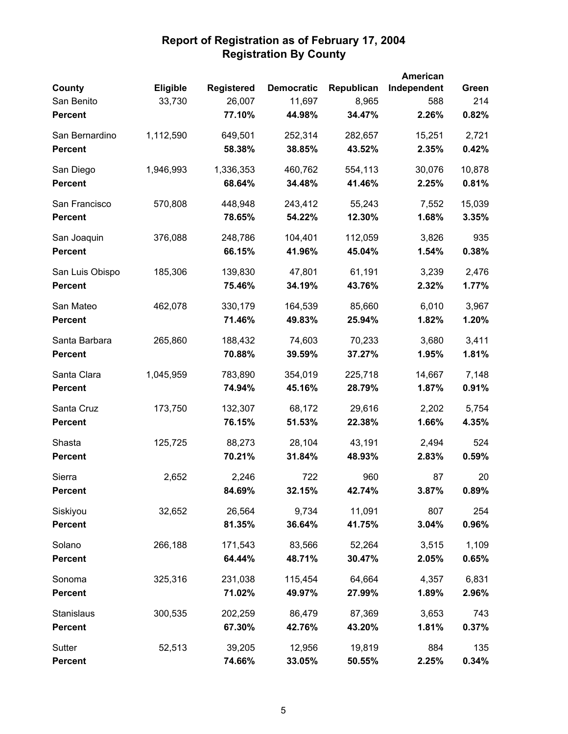|                 |           |                   |                   |            | American    |        |
|-----------------|-----------|-------------------|-------------------|------------|-------------|--------|
| County          | Eligible  | <b>Registered</b> | <b>Democratic</b> | Republican | Independent | Green  |
| San Benito      | 33,730    | 26,007            | 11,697            | 8,965      | 588         | 214    |
| <b>Percent</b>  |           | 77.10%            | 44.98%            | 34.47%     | 2.26%       | 0.82%  |
| San Bernardino  | 1,112,590 | 649,501           | 252,314           | 282,657    | 15,251      | 2,721  |
| <b>Percent</b>  |           | 58.38%            | 38.85%            | 43.52%     | 2.35%       | 0.42%  |
| San Diego       | 1,946,993 | 1,336,353         | 460,762           | 554,113    | 30,076      | 10,878 |
| <b>Percent</b>  |           | 68.64%            | 34.48%            | 41.46%     | 2.25%       | 0.81%  |
| San Francisco   | 570,808   | 448,948           | 243,412           | 55,243     | 7,552       | 15,039 |
| <b>Percent</b>  |           | 78.65%            | 54.22%            | 12.30%     | 1.68%       | 3.35%  |
| San Joaquin     | 376,088   | 248,786           | 104,401           | 112,059    | 3,826       | 935    |
| <b>Percent</b>  |           | 66.15%            | 41.96%            | 45.04%     | 1.54%       | 0.38%  |
| San Luis Obispo | 185,306   | 139,830           | 47,801            | 61,191     | 3,239       | 2,476  |
| <b>Percent</b>  |           | 75.46%            | 34.19%            | 43.76%     | 2.32%       | 1.77%  |
| San Mateo       | 462,078   | 330,179           | 164,539           | 85,660     | 6,010       | 3,967  |
| <b>Percent</b>  |           | 71.46%            | 49.83%            | 25.94%     | 1.82%       | 1.20%  |
| Santa Barbara   | 265,860   | 188,432           | 74,603            | 70,233     | 3,680       | 3,411  |
| <b>Percent</b>  |           | 70.88%            | 39.59%            | 37.27%     | 1.95%       | 1.81%  |
| Santa Clara     | 1,045,959 | 783,890           | 354,019           | 225,718    | 14,667      | 7,148  |
| <b>Percent</b>  |           | 74.94%            | 45.16%            | 28.79%     | 1.87%       | 0.91%  |
| Santa Cruz      | 173,750   | 132,307           | 68,172            | 29,616     | 2,202       | 5,754  |
| <b>Percent</b>  |           | 76.15%            | 51.53%            | 22.38%     | 1.66%       | 4.35%  |
| Shasta          | 125,725   | 88,273            | 28,104            | 43,191     | 2,494       | 524    |
| <b>Percent</b>  |           | 70.21%            | 31.84%            | 48.93%     | 2.83%       | 0.59%  |
| Sierra          | 2,652     | 2,246             | 722               | 960        | 87          | 20     |
| <b>Percent</b>  |           | 84.69%            | 32.15%            | 42.74%     | 3.87%       | 0.89%  |
| Siskiyou        | 32,652    | 26,564            | 9,734             | 11,091     | 807         | 254    |
| <b>Percent</b>  |           | 81.35%            | 36.64%            | 41.75%     | 3.04%       | 0.96%  |
| Solano          | 266,188   | 171,543           | 83,566            | 52,264     | 3,515       | 1,109  |
| <b>Percent</b>  |           | 64.44%            | 48.71%            | 30.47%     | 2.05%       | 0.65%  |
| Sonoma          | 325,316   | 231,038           | 115,454           | 64,664     | 4,357       | 6,831  |
| <b>Percent</b>  |           | 71.02%            | 49.97%            | 27.99%     | 1.89%       | 2.96%  |
| Stanislaus      | 300,535   | 202,259           | 86,479            | 87,369     | 3,653       | 743    |
| <b>Percent</b>  |           | 67.30%            | 42.76%            | 43.20%     | 1.81%       | 0.37%  |
| Sutter          | 52,513    | 39,205            | 12,956            | 19,819     | 884         | 135    |
| <b>Percent</b>  |           | 74.66%            | 33.05%            | 50.55%     | 2.25%       | 0.34%  |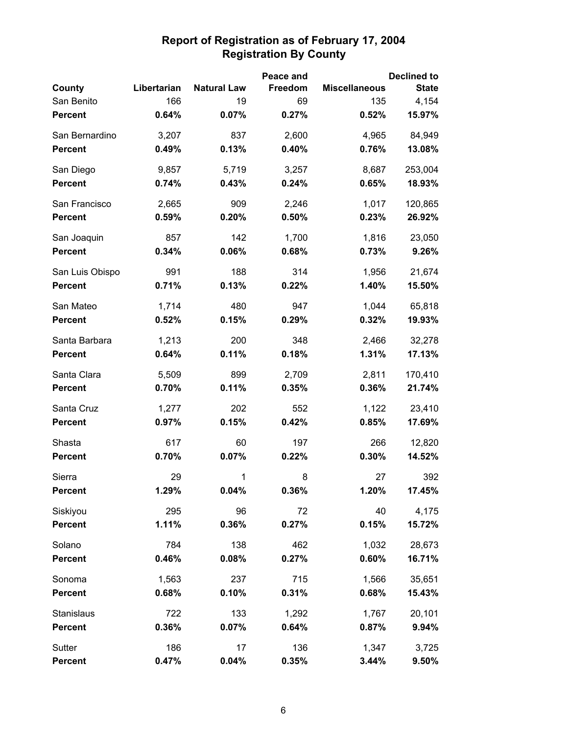|                 |             |                    | Peace and |                      | <b>Declined to</b> |
|-----------------|-------------|--------------------|-----------|----------------------|--------------------|
| County          | Libertarian | <b>Natural Law</b> | Freedom   | <b>Miscellaneous</b> | <b>State</b>       |
| San Benito      | 166         | 19                 | 69        | 135                  | 4,154              |
| <b>Percent</b>  | 0.64%       | 0.07%              | 0.27%     | 0.52%                | 15.97%             |
| San Bernardino  | 3,207       | 837                | 2,600     | 4,965                | 84,949             |
| <b>Percent</b>  | 0.49%       | 0.13%              | 0.40%     | 0.76%                | 13.08%             |
| San Diego       | 9,857       | 5,719              | 3,257     | 8,687                | 253,004            |
| <b>Percent</b>  | 0.74%       | 0.43%              | 0.24%     | 0.65%                | 18.93%             |
| San Francisco   | 2,665       | 909                | 2,246     | 1,017                | 120,865            |
| <b>Percent</b>  | 0.59%       | 0.20%              | 0.50%     | 0.23%                | 26.92%             |
| San Joaquin     | 857         | 142                | 1,700     | 1,816                | 23,050             |
| <b>Percent</b>  | 0.34%       | 0.06%              | 0.68%     | 0.73%                | 9.26%              |
| San Luis Obispo | 991         | 188                | 314       | 1,956                | 21,674             |
| <b>Percent</b>  | 0.71%       | 0.13%              | 0.22%     | 1.40%                | 15.50%             |
| San Mateo       | 1,714       | 480                | 947       | 1,044                | 65,818             |
| <b>Percent</b>  | 0.52%       | 0.15%              | 0.29%     | 0.32%                | 19.93%             |
| Santa Barbara   | 1,213       | 200                | 348       | 2,466                | 32,278             |
| <b>Percent</b>  | 0.64%       | 0.11%              | 0.18%     | 1.31%                | 17.13%             |
| Santa Clara     | 5,509       | 899                | 2,709     | 2,811                | 170,410            |
| <b>Percent</b>  | 0.70%       | 0.11%              | 0.35%     | 0.36%                | 21.74%             |
| Santa Cruz      | 1,277       | 202                | 552       | 1,122                | 23,410             |
| <b>Percent</b>  | 0.97%       | 0.15%              | 0.42%     | 0.85%                | 17.69%             |
| Shasta          | 617         | 60                 | 197       | 266                  | 12,820             |
| <b>Percent</b>  | 0.70%       | 0.07%              | 0.22%     | 0.30%                | 14.52%             |
| Sierra          | 29          | 1                  | 8         | 27                   | 392                |
| Percent         | 1.29%       | 0.04%              | 0.36%     | 1.20%                | 17.45%             |
| Siskiyou        | 295         | 96                 | 72        | 40                   | 4,175              |
| <b>Percent</b>  | 1.11%       | 0.36%              | 0.27%     | 0.15%                | 15.72%             |
| Solano          | 784         | 138                | 462       | 1,032                | 28,673             |
| <b>Percent</b>  | 0.46%       | 0.08%              | 0.27%     | 0.60%                | 16.71%             |
| Sonoma          | 1,563       | 237                | 715       | 1,566                | 35,651             |
| <b>Percent</b>  | 0.68%       | 0.10%              | 0.31%     | 0.68%                | 15.43%             |
| Stanislaus      | 722         | 133                | 1,292     | 1,767                | 20,101             |
| <b>Percent</b>  | 0.36%       | 0.07%              | 0.64%     | 0.87%                | 9.94%              |
| Sutter          | 186         | 17                 | 136       | 1,347                | 3,725              |
| <b>Percent</b>  | 0.47%       | 0.04%              | 0.35%     | 3.44%                | 9.50%              |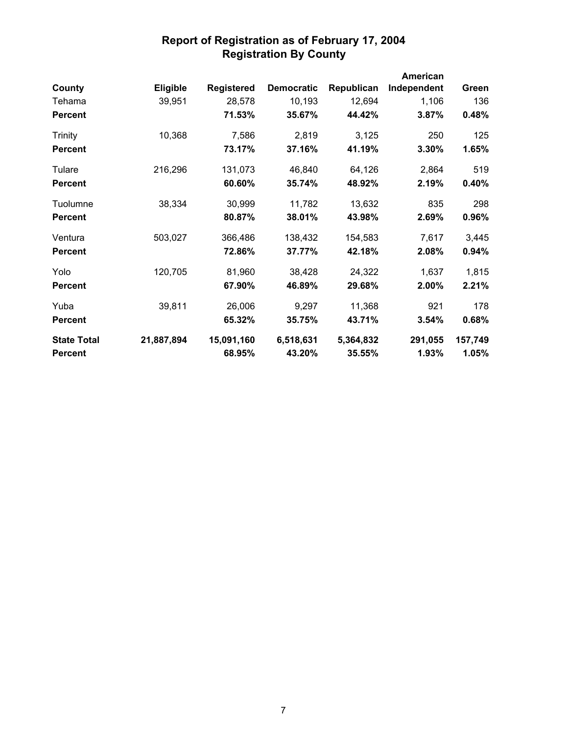|                    |                 |                   |                   |            | <b>American</b> |         |
|--------------------|-----------------|-------------------|-------------------|------------|-----------------|---------|
| County             | <b>Eligible</b> | <b>Registered</b> | <b>Democratic</b> | Republican | Independent     | Green   |
| Tehama             | 39,951          | 28,578            | 10,193            | 12,694     | 1,106           | 136     |
| <b>Percent</b>     |                 | 71.53%            | 35.67%            | 44.42%     | 3.87%           | 0.48%   |
| Trinity            | 10,368          | 7,586             | 2,819             | 3,125      | 250             | 125     |
| <b>Percent</b>     |                 | 73.17%            | 37.16%            | 41.19%     | 3.30%           | 1.65%   |
| Tulare             | 216,296         | 131,073           | 46,840            | 64,126     | 2,864           | 519     |
| <b>Percent</b>     |                 | 60.60%            | 35.74%            | 48.92%     | 2.19%           | 0.40%   |
| Tuolumne           | 38,334          | 30,999            | 11,782            | 13,632     | 835             | 298     |
| <b>Percent</b>     |                 | 80.87%            | 38.01%            | 43.98%     | 2.69%           | 0.96%   |
| Ventura            | 503,027         | 366,486           | 138,432           | 154,583    | 7,617           | 3,445   |
| <b>Percent</b>     |                 | 72.86%            | 37.77%            | 42.18%     | 2.08%           | 0.94%   |
| Yolo               | 120,705         | 81,960            | 38,428            | 24,322     | 1,637           | 1,815   |
| <b>Percent</b>     |                 | 67.90%            | 46.89%            | 29.68%     | 2.00%           | 2.21%   |
| Yuba               | 39,811          | 26,006            | 9,297             | 11,368     | 921             | 178     |
| <b>Percent</b>     |                 | 65.32%            | 35.75%            | 43.71%     | 3.54%           | 0.68%   |
| <b>State Total</b> | 21,887,894      | 15,091,160        | 6,518,631         | 5,364,832  | 291,055         | 157,749 |
| <b>Percent</b>     |                 | 68.95%            | 43.20%            | 35.55%     | 1.93%           | 1.05%   |